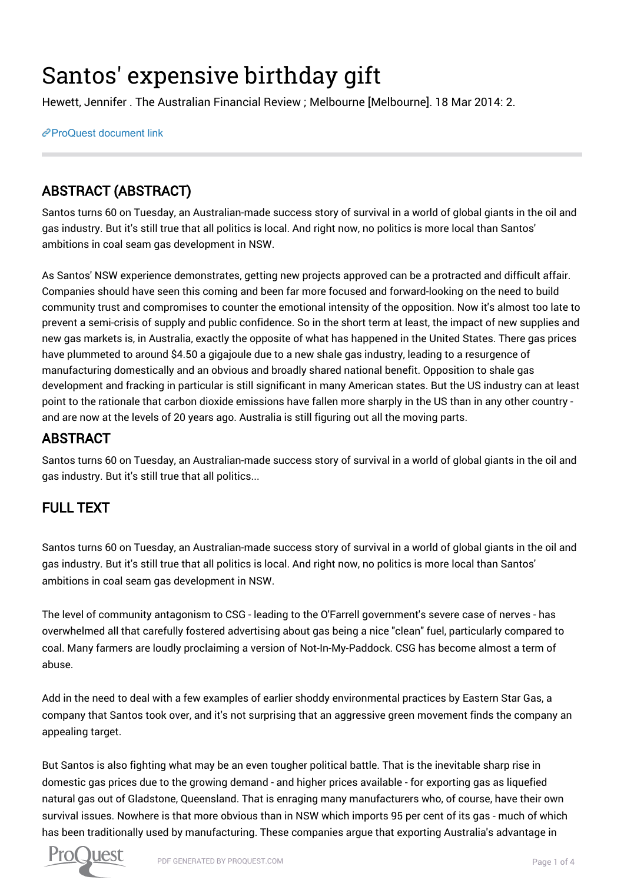# Santos' expensive birthday gift

Hewett, Jennifer . The Australian Financial Review ; Melbourne [Melbourne]. 18 Mar 2014: 2.

[ProQuest document link](https://www.proquest.com/newspapers/santos-expensive-birthday-gift/docview/1753403452/se-2?accountid=8330)

## ABSTRACT (ABSTRACT)

Santos turns 60 on Tuesday, an Australian-made success story of survival in a world of global giants in the oil and gas industry. But it's still true that all politics is local. And right now, no politics is more local than Santos' ambitions in coal seam gas development in NSW.

As Santos' NSW experience demonstrates, getting new projects approved can be a protracted and difficult affair. Companies should have seen this coming and been far more focused and forward-looking on the need to build community trust and compromises to counter the emotional intensity of the opposition. Now it's almost too late to prevent a semi-crisis of supply and public confidence. So in the short term at least, the impact of new supplies and new gas markets is, in Australia, exactly the opposite of what has happened in the United States. There gas prices have plummeted to around \$4.50 a gigajoule due to a new shale gas industry, leading to a resurgence of manufacturing domestically and an obvious and broadly shared national benefit. Opposition to shale gas development and fracking in particular is still significant in many American states. But the US industry can at least point to the rationale that carbon dioxide emissions have fallen more sharply in the US than in any other country and are now at the levels of 20 years ago. Australia is still figuring out all the moving parts.

### ABSTRACT

Santos turns 60 on Tuesday, an Australian-made success story of survival in a world of global giants in the oil and gas industry. But it's still true that all politics...

## FULL TEXT

Santos turns 60 on Tuesday, an Australian-made success story of survival in a world of global giants in the oil and gas industry. But it's still true that all politics is local. And right now, no politics is more local than Santos' ambitions in coal seam gas development in NSW.

The level of community antagonism to CSG - leading to the O'Farrell government's severe case of nerves - has overwhelmed all that carefully fostered advertising about gas being a nice "clean" fuel, particularly compared to coal. Many farmers are loudly proclaiming a version of Not-In-My-Paddock. CSG has become almost a term of abuse.

Add in the need to deal with a few examples of earlier shoddy environmental practices by Eastern Star Gas, a company that Santos took over, and it's not surprising that an aggressive green movement finds the company an appealing target.

But Santos is also fighting what may be an even tougher political battle. That is the inevitable sharp rise in domestic gas prices due to the growing demand - and higher prices available - for exporting gas as liquefied natural gas out of Gladstone, Queensland. That is enraging many manufacturers who, of course, have their own survival issues. Nowhere is that more obvious than in NSW which imports 95 per cent of its gas - much of which has been traditionally used by manufacturing. These companies argue that exporting Australia's advantage in

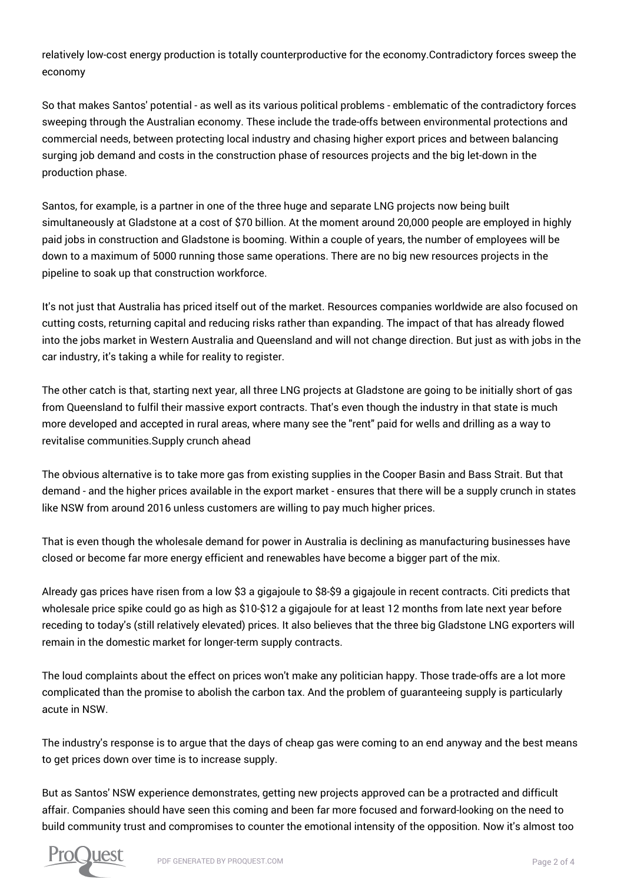relatively low-cost energy production is totally counterproductive for the economy.Contradictory forces sweep the economy

So that makes Santos' potential - as well as its various political problems - emblematic of the contradictory forces sweeping through the Australian economy. These include the trade-offs between environmental protections and commercial needs, between protecting local industry and chasing higher export prices and between balancing surging job demand and costs in the construction phase of resources projects and the big let-down in the production phase.

Santos, for example, is a partner in one of the three huge and separate LNG projects now being built simultaneously at Gladstone at a cost of \$70 billion. At the moment around 20,000 people are employed in highly paid jobs in construction and Gladstone is booming. Within a couple of years, the number of employees will be down to a maximum of 5000 running those same operations. There are no big new resources projects in the pipeline to soak up that construction workforce.

It's not just that Australia has priced itself out of the market. Resources companies worldwide are also focused on cutting costs, returning capital and reducing risks rather than expanding. The impact of that has already flowed into the jobs market in Western Australia and Queensland and will not change direction. But just as with jobs in the car industry, it's taking a while for reality to register.

The other catch is that, starting next year, all three LNG projects at Gladstone are going to be initially short of gas from Queensland to fulfil their massive export contracts. That's even though the industry in that state is much more developed and accepted in rural areas, where many see the "rent" paid for wells and drilling as a way to revitalise communities.Supply crunch ahead

The obvious alternative is to take more gas from existing supplies in the Cooper Basin and Bass Strait. But that demand - and the higher prices available in the export market - ensures that there will be a supply crunch in states like NSW from around 2016 unless customers are willing to pay much higher prices.

That is even though the wholesale demand for power in Australia is declining as manufacturing businesses have closed or become far more energy efficient and renewables have become a bigger part of the mix.

Already gas prices have risen from a low \$3 a gigajoule to \$8-\$9 a gigajoule in recent contracts. Citi predicts that wholesale price spike could go as high as \$10-\$12 a gigajoule for at least 12 months from late next year before receding to today's (still relatively elevated) prices. It also believes that the three big Gladstone LNG exporters will remain in the domestic market for longer-term supply contracts.

The loud complaints about the effect on prices won't make any politician happy. Those trade-offs are a lot more complicated than the promise to abolish the carbon tax. And the problem of guaranteeing supply is particularly acute in NSW.

The industry's response is to argue that the days of cheap gas were coming to an end anyway and the best means to get prices down over time is to increase supply.

But as Santos' NSW experience demonstrates, getting new projects approved can be a protracted and difficult affair. Companies should have seen this coming and been far more focused and forward-looking on the need to build community trust and compromises to counter the emotional intensity of the opposition. Now it's almost too

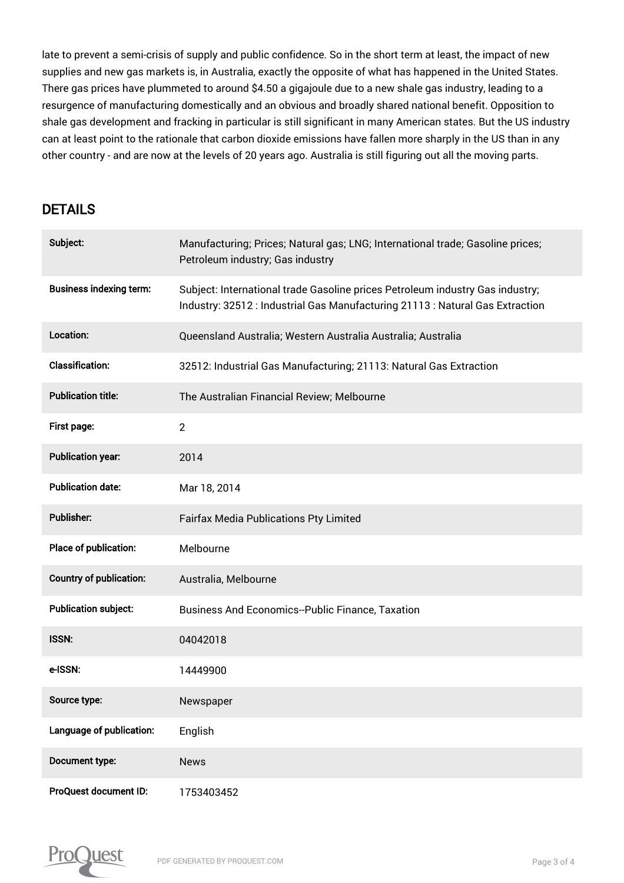late to prevent a semi-crisis of supply and public confidence. So in the short term at least, the impact of new supplies and new gas markets is, in Australia, exactly the opposite of what has happened in the United States. There gas prices have plummeted to around \$4.50 a gigajoule due to a new shale gas industry, leading to a resurgence of manufacturing domestically and an obvious and broadly shared national benefit. Opposition to shale gas development and fracking in particular is still significant in many American states. But the US industry can at least point to the rationale that carbon dioxide emissions have fallen more sharply in the US than in any other country - and are now at the levels of 20 years ago. Australia is still figuring out all the moving parts.

#### DETAILS

| Subject:                       | Manufacturing; Prices; Natural gas; LNG; International trade; Gasoline prices;<br>Petroleum industry; Gas industry                                             |
|--------------------------------|----------------------------------------------------------------------------------------------------------------------------------------------------------------|
| <b>Business indexing term:</b> | Subject: International trade Gasoline prices Petroleum industry Gas industry;<br>Industry: 32512 : Industrial Gas Manufacturing 21113 : Natural Gas Extraction |
| Location:                      | Queensland Australia; Western Australia Australia; Australia                                                                                                   |
| <b>Classification:</b>         | 32512: Industrial Gas Manufacturing; 21113: Natural Gas Extraction                                                                                             |
| <b>Publication title:</b>      | The Australian Financial Review; Melbourne                                                                                                                     |
| <b>First page:</b>             | 2                                                                                                                                                              |
| <b>Publication year:</b>       | 2014                                                                                                                                                           |
| <b>Publication date:</b>       | Mar 18, 2014                                                                                                                                                   |
| Publisher:                     | <b>Fairfax Media Publications Pty Limited</b>                                                                                                                  |
| Place of publication:          | Melbourne                                                                                                                                                      |
| <b>Country of publication:</b> | Australia, Melbourne                                                                                                                                           |
| <b>Publication subject:</b>    | <b>Business And Economics--Public Finance, Taxation</b>                                                                                                        |
| ISSN:                          | 04042018                                                                                                                                                       |
| e-ISSN:                        | 14449900                                                                                                                                                       |
| Source type:                   | Newspaper                                                                                                                                                      |
| Language of publication:       | English                                                                                                                                                        |
| Document type:                 | <b>News</b>                                                                                                                                                    |
| <b>ProQuest document ID:</b>   | 1753403452                                                                                                                                                     |